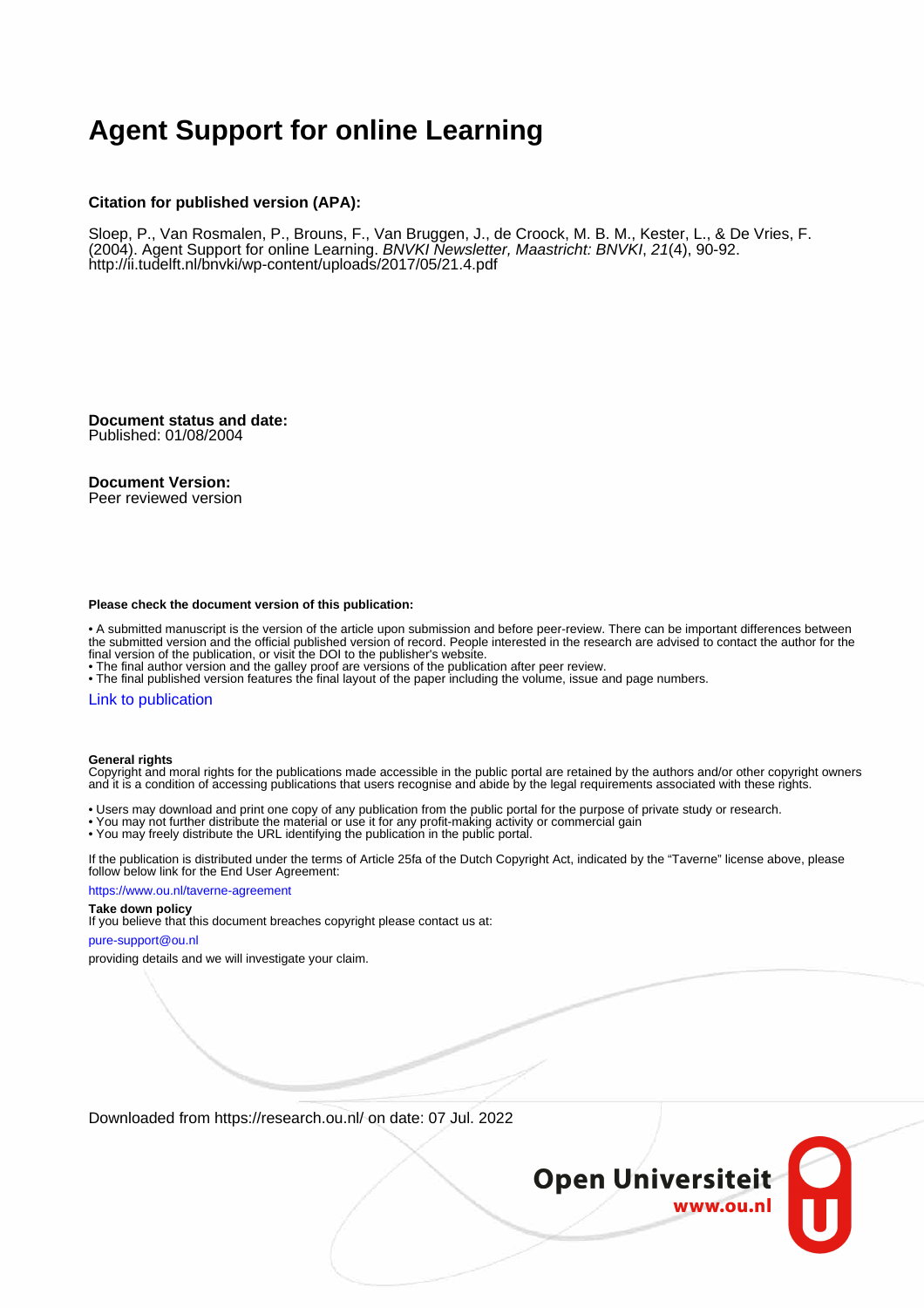# **Agent Support for online Learning**

## **Citation for published version (APA):**

Sloep, P., Van Rosmalen, P., Brouns, F., Van Bruggen, J., de Croock, M. B. M., Kester, L., & De Vries, F. (2004). Agent Support for online Learning. BNVKI Newsletter, Maastricht: BNVKI, 21(4), 90-92. <http://ii.tudelft.nl/bnvki/wp-content/uploads/2017/05/21.4.pdf>

**Document status and date:** Published: 01/08/2004

## **Document Version:**

Peer reviewed version

#### **Please check the document version of this publication:**

• A submitted manuscript is the version of the article upon submission and before peer-review. There can be important differences between the submitted version and the official published version of record. People interested in the research are advised to contact the author for the final version of the publication, or visit the DOI to the publisher's website.

• The final author version and the galley proof are versions of the publication after peer review.

• The final published version features the final layout of the paper including the volume, issue and page numbers.

# [Link to publication](https://research.ou.nl/en/publications/e57bb679-43bb-4201-a01d-9b32be992d50)

#### **General rights**

Copyright and moral rights for the publications made accessible in the public portal are retained by the authors and/or other copyright owners and it is a condition of accessing publications that users recognise and abide by the legal requirements associated with these rights.

- Users may download and print one copy of any publication from the public portal for the purpose of private study or research.
- You may not further distribute the material or use it for any profit-making activity or commercial gain
- You may freely distribute the URL identifying the publication in the public portal.

If the publication is distributed under the terms of Article 25fa of the Dutch Copyright Act, indicated by the "Taverne" license above, please follow below link for the End User Agreement:

#### https://www.ou.nl/taverne-agreement

# **Take down policy**

If you believe that this document breaches copyright please contact us at:

#### pure-support@ou.nl

providing details and we will investigate your claim.

Downloaded from https://research.ou.nl/ on date: 07 Jul. 2022

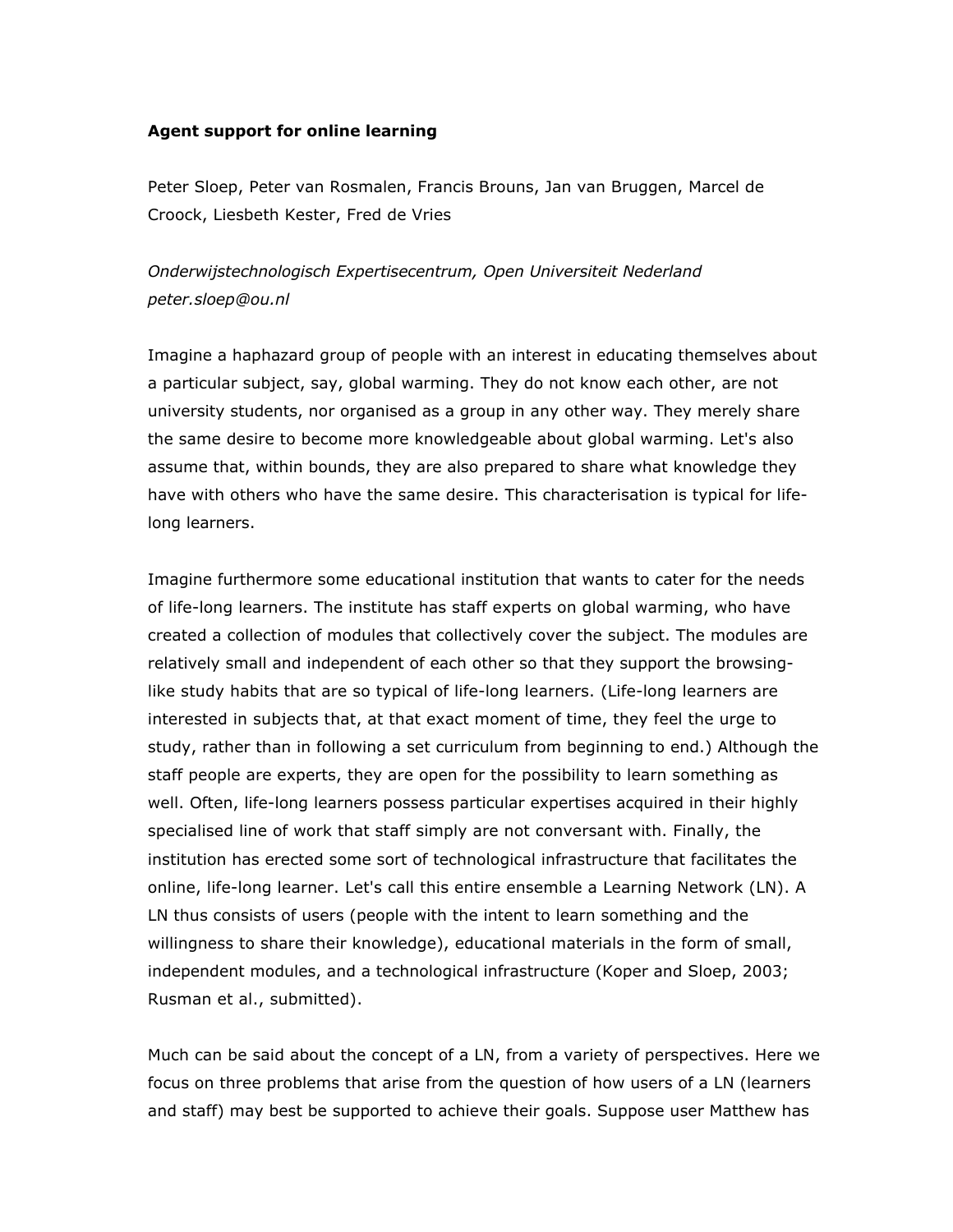# **Agent support for online learning**

Peter Sloep, Peter van Rosmalen, Francis Brouns, Jan van Bruggen, Marcel de Croock, Liesbeth Kester, Fred de Vries

# *Onderwijstechnologisch Expertisecentrum, Open Universiteit Nederland peter.sloep@ou.nl*

Imagine a haphazard group of people with an interest in educating themselves about a particular subject, say, global warming. They do not know each other, are not university students, nor organised as a group in any other way. They merely share the same desire to become more knowledgeable about global warming. Let's also assume that, within bounds, they are also prepared to share what knowledge they have with others who have the same desire. This characterisation is typical for lifelong learners.

Imagine furthermore some educational institution that wants to cater for the needs of life-long learners. The institute has staff experts on global warming, who have created a collection of modules that collectively cover the subject. The modules are relatively small and independent of each other so that they support the browsinglike study habits that are so typical of life-long learners. (Life-long learners are interested in subjects that, at that exact moment of time, they feel the urge to study, rather than in following a set curriculum from beginning to end.) Although the staff people are experts, they are open for the possibility to learn something as well. Often, life-long learners possess particular expertises acquired in their highly specialised line of work that staff simply are not conversant with. Finally, the institution has erected some sort of technological infrastructure that facilitates the online, life-long learner. Let's call this entire ensemble a Learning Network (LN). A LN thus consists of users (people with the intent to learn something and the willingness to share their knowledge), educational materials in the form of small, independent modules, and a technological infrastructure (Koper and Sloep, 2003; Rusman et al., submitted).

Much can be said about the concept of a LN, from a variety of perspectives. Here we focus on three problems that arise from the question of how users of a LN (learners and staff) may best be supported to achieve their goals. Suppose user Matthew has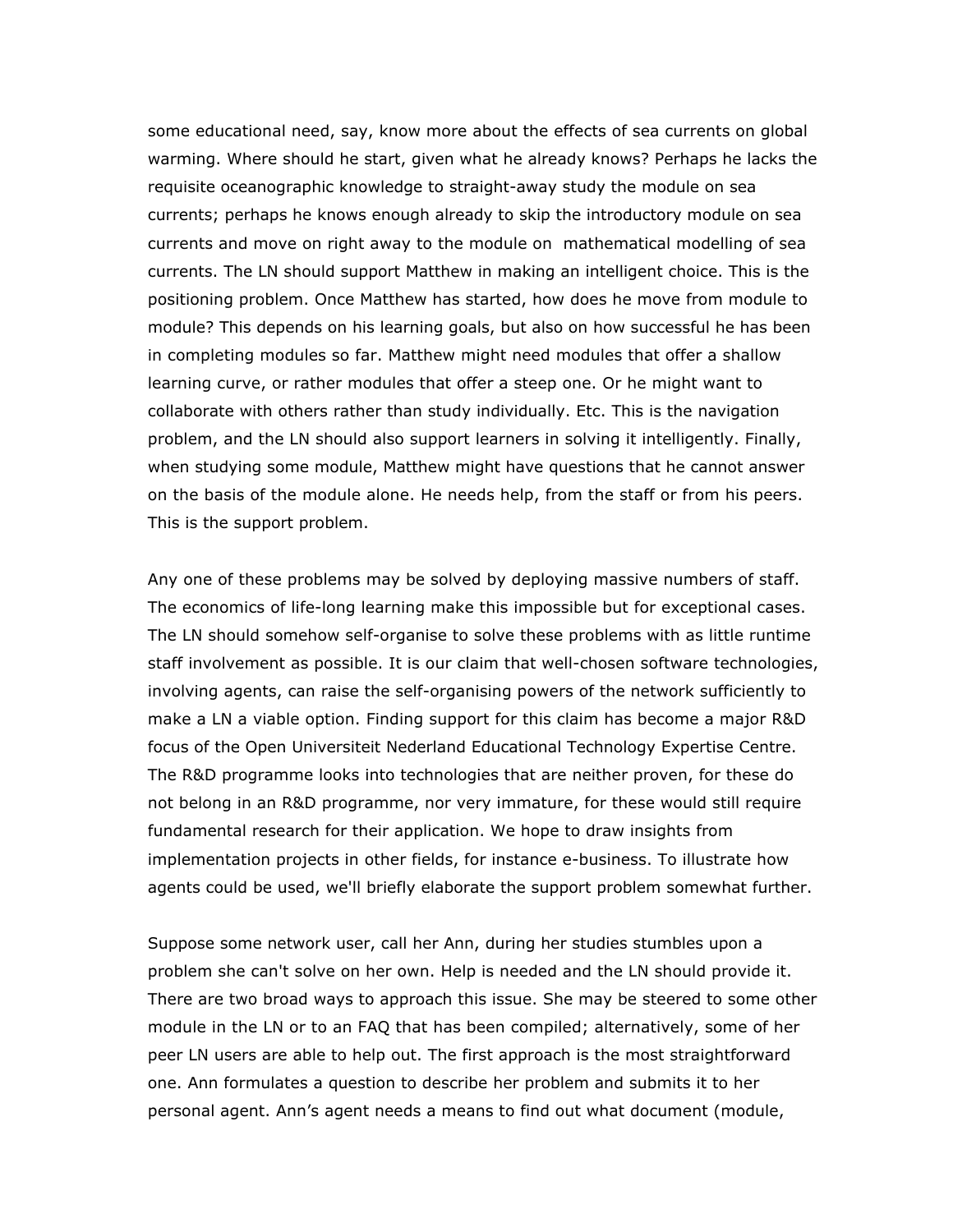some educational need, say, know more about the effects of sea currents on global warming. Where should he start, given what he already knows? Perhaps he lacks the requisite oceanographic knowledge to straight-away study the module on sea currents; perhaps he knows enough already to skip the introductory module on sea currents and move on right away to the module on mathematical modelling of sea currents. The LN should support Matthew in making an intelligent choice. This is the positioning problem. Once Matthew has started, how does he move from module to module? This depends on his learning goals, but also on how successful he has been in completing modules so far. Matthew might need modules that offer a shallow learning curve, or rather modules that offer a steep one. Or he might want to collaborate with others rather than study individually. Etc. This is the navigation problem, and the LN should also support learners in solving it intelligently. Finally, when studying some module, Matthew might have questions that he cannot answer on the basis of the module alone. He needs help, from the staff or from his peers. This is the support problem.

Any one of these problems may be solved by deploying massive numbers of staff. The economics of life-long learning make this impossible but for exceptional cases. The LN should somehow self-organise to solve these problems with as little runtime staff involvement as possible. It is our claim that well-chosen software technologies, involving agents, can raise the self-organising powers of the network sufficiently to make a LN a viable option. Finding support for this claim has become a major R&D focus of the Open Universiteit Nederland Educational Technology Expertise Centre. The R&D programme looks into technologies that are neither proven, for these do not belong in an R&D programme, nor very immature, for these would still require fundamental research for their application. We hope to draw insights from implementation projects in other fields, for instance e-business. To illustrate how agents could be used, we'll briefly elaborate the support problem somewhat further.

Suppose some network user, call her Ann, during her studies stumbles upon a problem she can't solve on her own. Help is needed and the LN should provide it. There are two broad ways to approach this issue. She may be steered to some other module in the LN or to an FAQ that has been compiled; alternatively, some of her peer LN users are able to help out. The first approach is the most straightforward one. Ann formulates a question to describe her problem and submits it to her personal agent. Ann's agent needs a means to find out what document (module,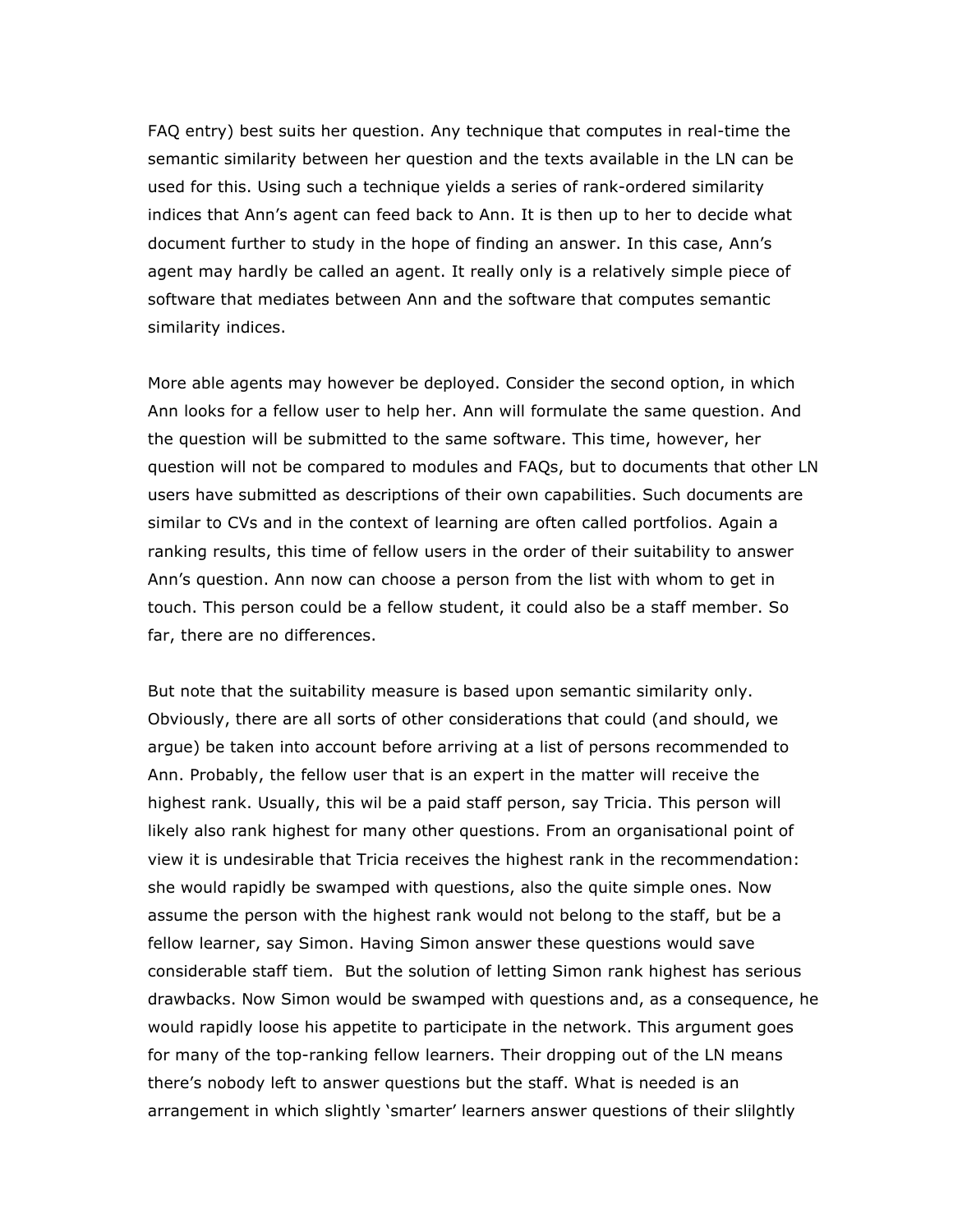FAQ entry) best suits her question. Any technique that computes in real-time the semantic similarity between her question and the texts available in the LN can be used for this. Using such a technique yields a series of rank-ordered similarity indices that Ann's agent can feed back to Ann. It is then up to her to decide what document further to study in the hope of finding an answer. In this case, Ann's agent may hardly be called an agent. It really only is a relatively simple piece of software that mediates between Ann and the software that computes semantic similarity indices.

More able agents may however be deployed. Consider the second option, in which Ann looks for a fellow user to help her. Ann will formulate the same question. And the question will be submitted to the same software. This time, however, her question will not be compared to modules and FAQs, but to documents that other LN users have submitted as descriptions of their own capabilities. Such documents are similar to CVs and in the context of learning are often called portfolios. Again a ranking results, this time of fellow users in the order of their suitability to answer Ann's question. Ann now can choose a person from the list with whom to get in touch. This person could be a fellow student, it could also be a staff member. So far, there are no differences.

But note that the suitability measure is based upon semantic similarity only. Obviously, there are all sorts of other considerations that could (and should, we argue) be taken into account before arriving at a list of persons recommended to Ann. Probably, the fellow user that is an expert in the matter will receive the highest rank. Usually, this wil be a paid staff person, say Tricia. This person will likely also rank highest for many other questions. From an organisational point of view it is undesirable that Tricia receives the highest rank in the recommendation: she would rapidly be swamped with questions, also the quite simple ones. Now assume the person with the highest rank would not belong to the staff, but be a fellow learner, say Simon. Having Simon answer these questions would save considerable staff tiem. But the solution of letting Simon rank highest has serious drawbacks. Now Simon would be swamped with questions and, as a consequence, he would rapidly loose his appetite to participate in the network. This argument goes for many of the top-ranking fellow learners. Their dropping out of the LN means there's nobody left to answer questions but the staff. What is needed is an arrangement in which slightly 'smarter' learners answer questions of their slilghtly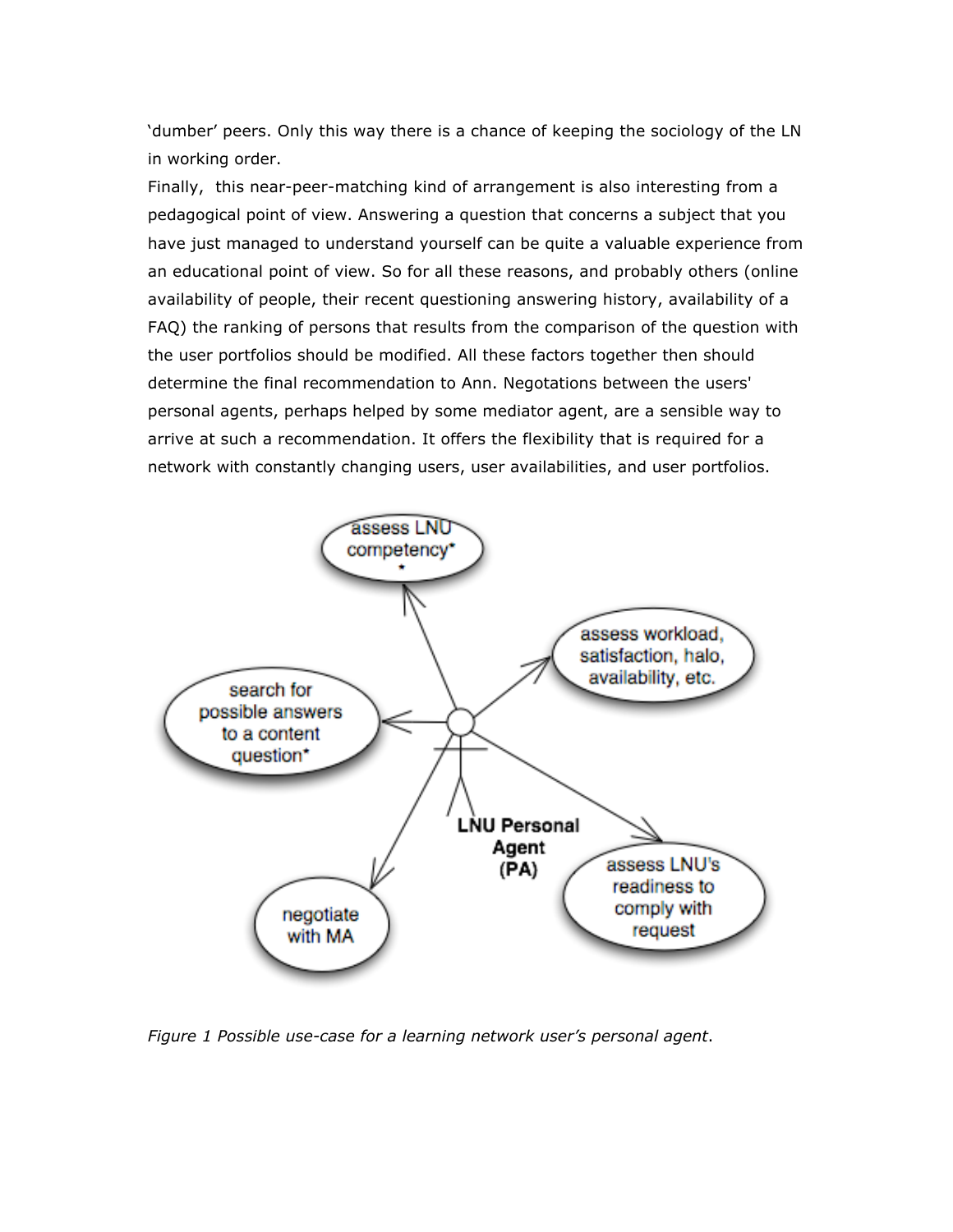'dumber' peers. Only this way there is a chance of keeping the sociology of the LN in working order.

Finally, this near-peer-matching kind of arrangement is also interesting from a pedagogical point of view. Answering a question that concerns a subject that you have just managed to understand yourself can be quite a valuable experience from an educational point of view. So for all these reasons, and probably others (online availability of people, their recent questioning answering history, availability of a FAQ) the ranking of persons that results from the comparison of the question with the user portfolios should be modified. All these factors together then should determine the final recommendation to Ann. Negotations between the users' personal agents, perhaps helped by some mediator agent, are a sensible way to arrive at such a recommendation. It offers the flexibility that is required for a network with constantly changing users, user availabilities, and user portfolios.



*Figure 1 Possible use-case for a learning network user's personal agent*.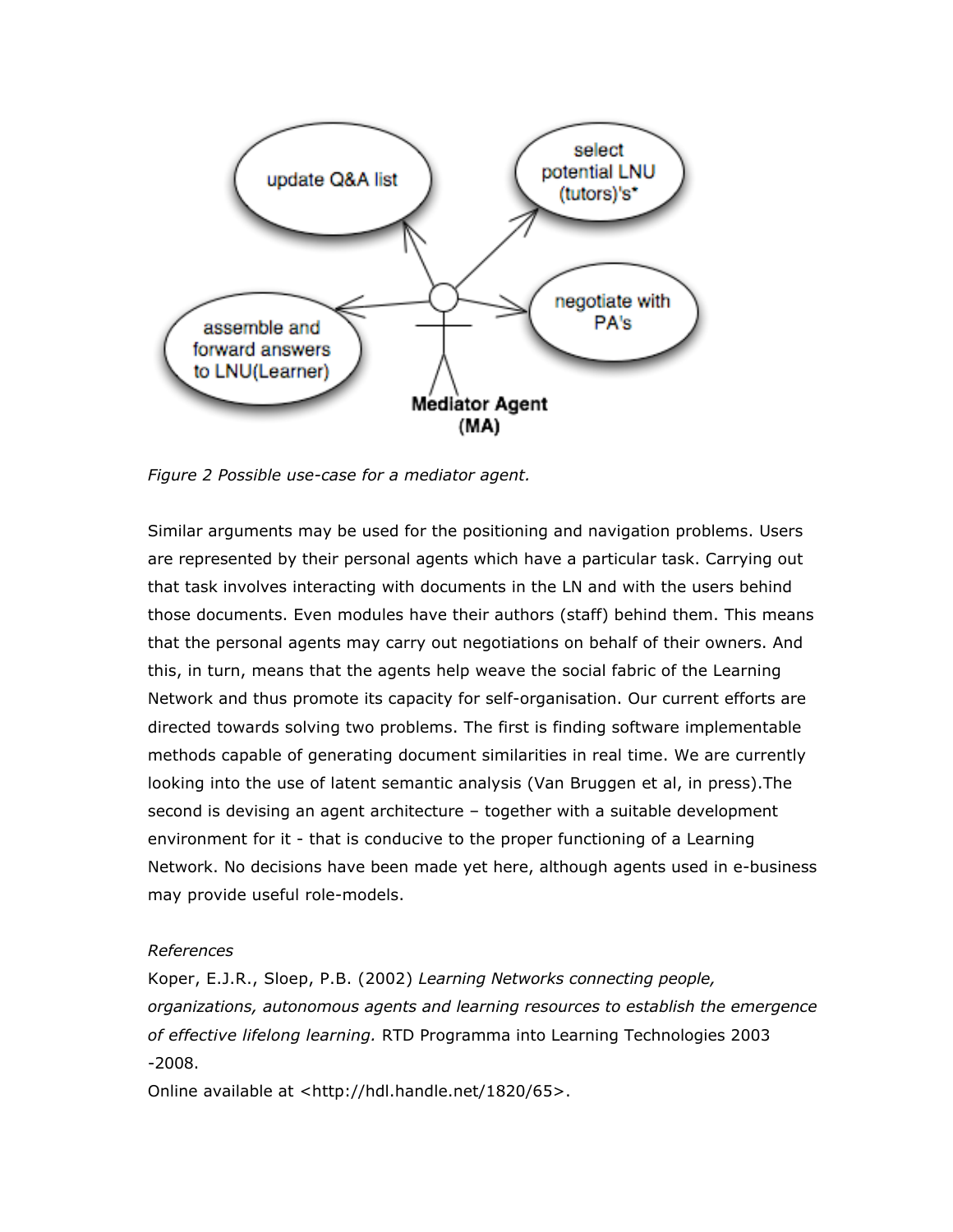

*Figure 2 Possible use-case for a mediator agent.*

Similar arguments may be used for the positioning and navigation problems. Users are represented by their personal agents which have a particular task. Carrying out that task involves interacting with documents in the LN and with the users behind those documents. Even modules have their authors (staff) behind them. This means that the personal agents may carry out negotiations on behalf of their owners. And this, in turn, means that the agents help weave the social fabric of the Learning Network and thus promote its capacity for self-organisation. Our current efforts are directed towards solving two problems. The first is finding software implementable methods capable of generating document similarities in real time. We are currently looking into the use of latent semantic analysis (Van Bruggen et al, in press).The second is devising an agent architecture – together with a suitable development environment for it - that is conducive to the proper functioning of a Learning Network. No decisions have been made yet here, although agents used in e-business may provide useful role-models.

# *References*

Koper, E.J.R., Sloep, P.B. (2002) *Learning Networks connecting people, organizations, autonomous agents and learning resources to establish the emergence of effective lifelong learning.* RTD Programma into Learning Technologies 2003 -2008.

Online available at <http://hdl.handle.net/1820/65>.